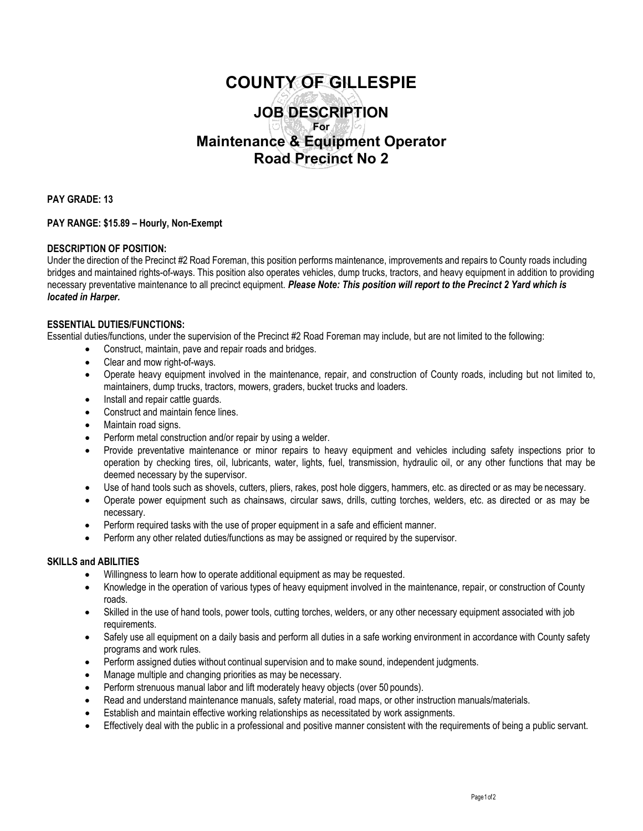# **COUNTY OF GILLESPIE JOB DESCRIPTION For Maintenance & Equipment Operator Road Precinct No 2**

**PAY GRADE: 13**

### **PAY RANGE: \$15.89 – Hourly, Non-Exempt**

### **DESCRIPTION OF POSITION:**

Under the direction of the Precinct #2 Road Foreman, this position performs maintenance, improvements and repairs to County roads including bridges and maintained rights-of-ways. This position also operates vehicles, dump trucks, tractors, and heavy equipment in addition to providing necessary preventative maintenance to all precinct equipment. *Please Note: This position will report to the Precinct 2 Yard which is located in Harper.*

### **ESSENTIAL DUTIES/FUNCTIONS:**

Essential duties/functions, under the supervision of the Precinct #2 Road Foreman may include, but are not limited to the following:

- Construct, maintain, pave and repair roads and bridges.
- Clear and mow right-of-ways.
- Operate heavy equipment involved in the maintenance, repair, and construction of County roads, including but not limited to, maintainers, dump trucks, tractors, mowers, graders, bucket trucks and loaders.
- Install and repair cattle guards.
- Construct and maintain fence lines.
- Maintain road signs.
- Perform metal construction and/or repair by using a welder.
- Provide preventative maintenance or minor repairs to heavy equipment and vehicles including safety inspections prior to operation by checking tires, oil, lubricants, water, lights, fuel, transmission, hydraulic oil, or any other functions that may be deemed necessary by the supervisor.
- Use of hand tools such as shovels, cutters, pliers, rakes, post hole diggers, hammers, etc. as directed or as may be necessary.
- Operate power equipment such as chainsaws, circular saws, drills, cutting torches, welders, etc. as directed or as may be necessary.
- Perform required tasks with the use of proper equipment in a safe and efficient manner.
- Perform any other related duties/functions as may be assigned or required by the supervisor.

### **SKILLS and ABILITIES**

- Willingness to learn how to operate additional equipment as may be requested.
- Knowledge in the operation of various types of heavy equipment involved in the maintenance, repair, or construction of County roads.
- Skilled in the use of hand tools, power tools, cutting torches, welders, or any other necessary equipment associated with job requirements.
- Safely use all equipment on a daily basis and perform all duties in a safe working environment in accordance with County safety programs and work rules.
- Perform assigned duties without continual supervision and to make sound, independent judgments.
- Manage multiple and changing priorities as may be necessary.
- Perform strenuous manual labor and lift moderately heavy objects (over 50 pounds).
- Read and understand maintenance manuals, safety material, road maps, or other instruction manuals/materials.
- Establish and maintain effective working relationships as necessitated by work assignments.
- Effectively deal with the public in a professional and positive manner consistent with the requirements of being a public servant.